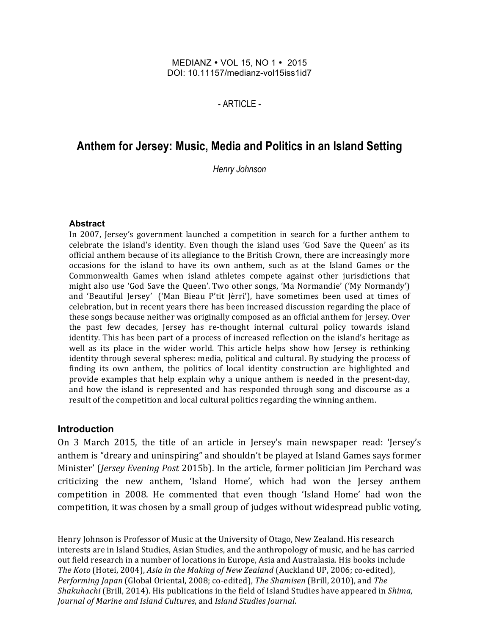#### MEDIANZ • VOL 15, NO 1 • 2015 DOI: 10.11157/medianz-vol15iss1id7

- ARTICLE -

# **Anthem for Jersey: Music, Media and Politics in an Island Setting**

*Henry Johnson*

#### **Abstract**

In 2007, Jersey's government launched a competition in search for a further anthem to celebrate the island's identity. Even though the island uses 'God Save the Queen' as its official anthem because of its allegiance to the British Crown, there are increasingly more occasions for the island to have its own anthem, such as at the Island Games or the Commonwealth Games when island athletes compete against other jurisdictions that might also use 'God Save the Queen'. Two other songs, 'Ma Normandie' ('My Normandy') and 'Beautiful Jersey' ('Man Bieau P'tit Jèrri'), have sometimes been used at times of celebration, but in recent years there has been increased discussion regarding the place of these songs because neither was originally composed as an official anthem for Jersey. Over the past few decades, Jersey has re-thought internal cultural policy towards island identity. This has been part of a process of increased reflection on the island's heritage as well as its place in the wider world. This article helps show how Jersey is rethinking identity through several spheres: media, political and cultural. By studying the process of finding its own anthem, the politics of local identity construction are highlighted and provide examples that help explain why a unique anthem is needed in the present-day, and how the island is represented and has responded through song and discourse as a result of the competition and local cultural politics regarding the winning anthem.

#### **Introduction**

On 3 March 2015, the title of an article in Jersey's main newspaper read: 'Jersey's anthem is "dreary and uninspiring" and shouldn't be played at Island Games says former Minister' (*Jersey Evening Post* 2015b). In the article, former politician *Jim Perchard* was criticizing the new anthem, 'Island Home', which had won the Jersey anthem competition in 2008. He commented that even though 'Island Home' had won the competition, it was chosen by a small group of judges without widespread public voting,

Henry Johnson is Professor of Music at the University of Otago, New Zealand. His research interests are in Island Studies, Asian Studies, and the anthropology of music, and he has carried out field research in a number of locations in Europe, Asia and Australasia. His books include *The Koto* (Hotei, 2004), *Asia in the Making of New Zealand* (Auckland UP, 2006; co-edited), *Performing Japan* (Global Oriental, 2008; co-edited), *The Shamisen* (Brill, 2010), and *The Shakuhachi* (Brill, 2014). His publications in the field of Island Studies have appeared in *Shima*, *Journal of Marine and Island Cultures*, and *Island Studies Journal.*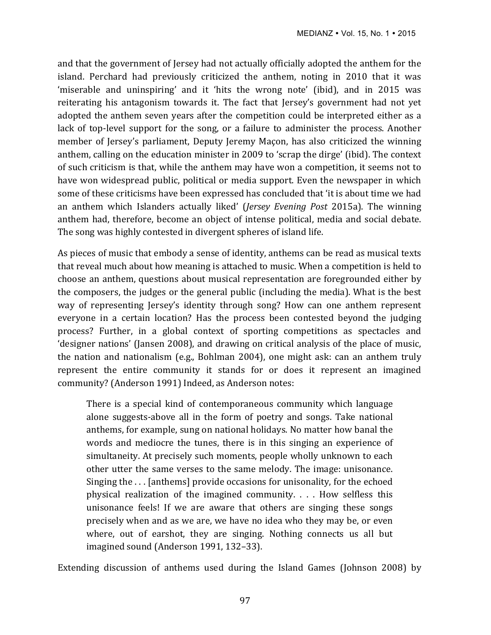and that the government of Jersey had not actually officially adopted the anthem for the island. Perchard had previously criticized the anthem, noting in 2010 that it was 'miserable and uninspiring' and it 'hits the wrong note' (ibid), and in 2015 was reiterating his antagonism towards it. The fact that Jersey's government had not yet adopted the anthem seven years after the competition could be interpreted either as a lack of top-level support for the song, or a failure to administer the process. Another member of Jersey's parliament, Deputy Jeremy Maçon, has also criticized the winning anthem, calling on the education minister in 2009 to 'scrap the dirge' (ibid). The context of such criticism is that, while the anthem may have won a competition, it seems not to have won widespread public, political or media support. Even the newspaper in which some of these criticisms have been expressed has concluded that 'it is about time we had an anthem which Islanders actually liked' (*Jersey Evening Post* 2015a). The winning anthem had, therefore, become an object of intense political, media and social debate. The song was highly contested in divergent spheres of island life.

As pieces of music that embody a sense of identity, anthems can be read as musical texts that reveal much about how meaning is attached to music. When a competition is held to choose an anthem, questions about musical representation are foregrounded either by the composers, the judges or the general public (including the media). What is the best way of representing Jersey's identity through song? How can one anthem represent everyone in a certain location? Has the process been contested beyond the judging process? Further, in a global context of sporting competitions as spectacles and 'designer nations' (Jansen 2008), and drawing on critical analysis of the place of music, the nation and nationalism (e.g., Bohlman 2004), one might ask: can an anthem truly represent the entire community it stands for or does it represent an imagined community? (Anderson 1991) Indeed, as Anderson notes:

There is a special kind of contemporaneous community which language alone suggests-above all in the form of poetry and songs. Take national anthems, for example, sung on national holidays. No matter how banal the words and mediocre the tunes, there is in this singing an experience of simultaneity. At precisely such moments, people wholly unknown to each other utter the same verses to the same melody. The image: unisonance. Singing the  $\dots$  [anthems] provide occasions for unisonality, for the echoed physical realization of the imagined community.  $\ldots$  How selfless this unisonance feels! If we are aware that others are singing these songs precisely when and as we are, we have no idea who they may be, or even where, out of earshot, they are singing. Nothing connects us all but imagined sound (Anderson 1991, 132-33).

Extending discussion of anthems used during the Island Games (Johnson 2008) by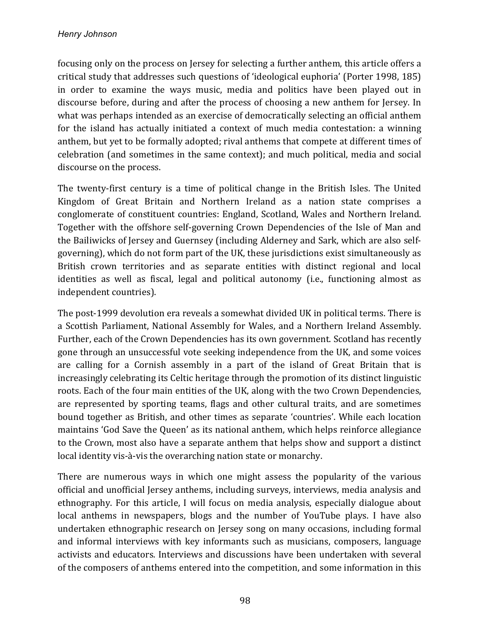focusing only on the process on Jersey for selecting a further anthem, this article offers a critical study that addresses such questions of 'ideological euphoria' (Porter 1998, 185) in order to examine the ways music, media and politics have been played out in discourse before, during and after the process of choosing a new anthem for Jersey. In what was perhaps intended as an exercise of democratically selecting an official anthem for the island has actually initiated a context of much media contestation: a winning anthem, but yet to be formally adopted; rival anthems that compete at different times of celebration (and sometimes in the same context); and much political, media and social discourse on the process.

The twenty-first century is a time of political change in the British Isles. The United Kingdom of Great Britain and Northern Ireland as a nation state comprises a conglomerate of constituent countries: England, Scotland, Wales and Northern Ireland. Together with the offshore self-governing Crown Dependencies of the Isle of Man and the Bailiwicks of Jersey and Guernsey (including Alderney and Sark, which are also selfgoverning), which do not form part of the UK, these jurisdictions exist simultaneously as British crown territories and as separate entities with distinct regional and local identities as well as fiscal, legal and political autonomy (i.e., functioning almost as independent countries).

The post-1999 devolution era reveals a somewhat divided UK in political terms. There is a Scottish Parliament, National Assembly for Wales, and a Northern Ireland Assembly. Further, each of the Crown Dependencies has its own government. Scotland has recently gone through an unsuccessful vote seeking independence from the UK, and some voices are calling for a Cornish assembly in a part of the island of Great Britain that is increasingly celebrating its Celtic heritage through the promotion of its distinct linguistic roots. Each of the four main entities of the UK, along with the two Crown Dependencies, are represented by sporting teams, flags and other cultural traits, and are sometimes bound together as British, and other times as separate 'countries'. While each location maintains 'God Save the Queen' as its national anthem, which helps reinforce allegiance to the Crown, most also have a separate anthem that helps show and support a distinct local identity vis-à-vis the overarching nation state or monarchy.

There are numerous ways in which one might assess the popularity of the various official and unofficial Jersey anthems, including surveys, interviews, media analysis and ethnography. For this article, I will focus on media analysis, especially dialogue about local anthems in newspapers, blogs and the number of YouTube plays. I have also undertaken ethnographic research on Jersey song on many occasions, including formal and informal interviews with key informants such as musicians, composers, language activists and educators. Interviews and discussions have been undertaken with several of the composers of anthems entered into the competition, and some information in this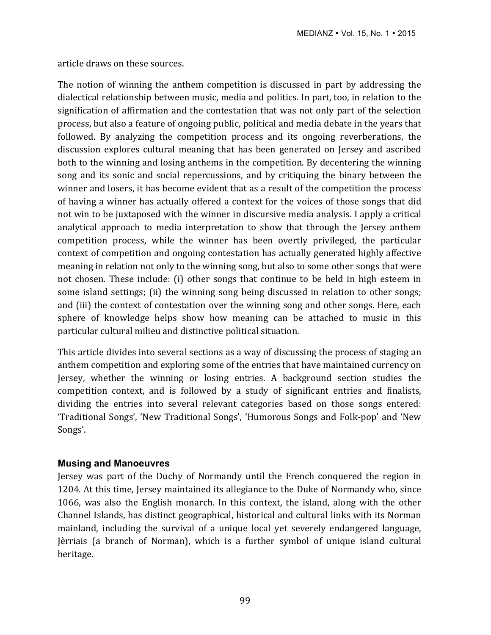article draws on these sources.

The notion of winning the anthem competition is discussed in part by addressing the dialectical relationship between music, media and politics. In part, too, in relation to the signification of affirmation and the contestation that was not only part of the selection process, but also a feature of ongoing public, political and media debate in the years that followed. By analyzing the competition process and its ongoing reverberations, the discussion explores cultural meaning that has been generated on Jersey and ascribed both to the winning and losing anthems in the competition. By decentering the winning song and its sonic and social repercussions, and by critiquing the binary between the winner and losers, it has become evident that as a result of the competition the process of having a winner has actually offered a context for the voices of those songs that did not win to be juxtaposed with the winner in discursive media analysis. I apply a critical analytical approach to media interpretation to show that through the Jersey anthem competition process, while the winner has been overtly privileged, the particular context of competition and ongoing contestation has actually generated highly affective meaning in relation not only to the winning song, but also to some other songs that were not chosen. These include: (i) other songs that continue to be held in high esteem in some island settings; (ii) the winning song being discussed in relation to other songs; and (iii) the context of contestation over the winning song and other songs. Here, each sphere of knowledge helps show how meaning can be attached to music in this particular cultural milieu and distinctive political situation.

This article divides into several sections as a way of discussing the process of staging an anthem competition and exploring some of the entries that have maintained currency on Jersey, whether the winning or losing entries. A background section studies the competition context, and is followed by a study of significant entries and finalists, dividing the entries into several relevant categories based on those songs entered: 'Traditional Songs', 'New Traditional Songs', 'Humorous Songs and Folk-pop' and 'New Songs'.

### **Musing and Manoeuvres**

Jersey was part of the Duchy of Normandy until the French conquered the region in 1204. At this time, Jersey maintained its allegiance to the Duke of Normandy who, since 1066, was also the English monarch. In this context, the island, along with the other Channel Islands, has distinct geographical, historical and cultural links with its Norman mainland, including the survival of a unique local yet severely endangered language, Jèrriais (a branch of Norman), which is a further symbol of unique island cultural heritage.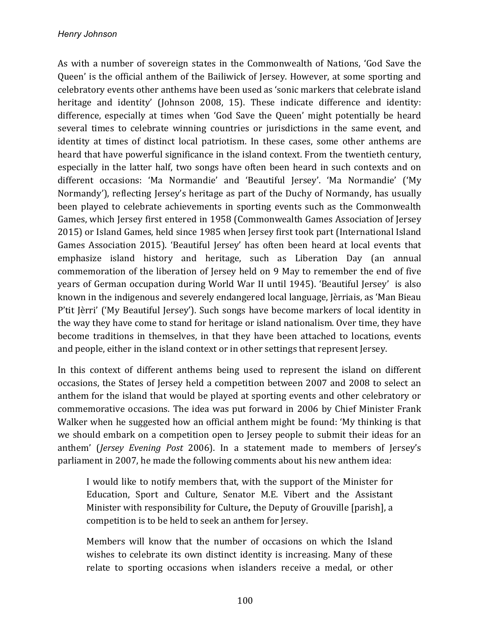As with a number of sovereign states in the Commonwealth of Nations, 'God Save the Queen' is the official anthem of the Bailiwick of Jersey. However, at some sporting and celebratory events other anthems have been used as 'sonic markers that celebrate island heritage and identity' (Johnson 2008, 15). These indicate difference and identity: difference, especially at times when 'God Save the Queen' might potentially be heard several times to celebrate winning countries or jurisdictions in the same event, and identity at times of distinct local patriotism. In these cases, some other anthems are heard that have powerful significance in the island context. From the twentieth century, especially in the latter half, two songs have often been heard in such contexts and on different occasions: 'Ma Normandie' and 'Beautiful Jersey'. 'Ma Normandie' ('My Normandy'), reflecting Jersey's heritage as part of the Duchy of Normandy, has usually been played to celebrate achievements in sporting events such as the Commonwealth Games, which Jersey first entered in 1958 (Commonwealth Games Association of Jersey 2015) or Island Games, held since 1985 when Jersey first took part (International Island Games Association 2015). 'Beautiful Jersey' has often been heard at local events that emphasize island history and heritage, such as Liberation Day (an annual commemoration of the liberation of Jersey held on 9 May to remember the end of five years of German occupation during World War II until 1945). 'Beautiful Jersey' is also known in the indigenous and severely endangered local language, Jèrriais, as 'Man Bieau P'tit Jèrri' ('My Beautiful Jersey'). Such songs have become markers of local identity in the way they have come to stand for heritage or island nationalism. Over time, they have become traditions in themselves, in that they have been attached to locations, events and people, either in the island context or in other settings that represent Jersey.

In this context of different anthems being used to represent the island on different occasions, the States of Jersey held a competition between 2007 and 2008 to select an anthem for the island that would be played at sporting events and other celebratory or commemorative occasions. The idea was put forward in 2006 by Chief Minister Frank Walker when he suggested how an official anthem might be found: 'My thinking is that we should embark on a competition open to Jersey people to submit their ideas for an anthem' (*Jersey Evening Post* 2006). In a statement made to members of *Jersey's* parliament in 2007, he made the following comments about his new anthem idea:

I would like to notify members that, with the support of the Minister for Education, Sport and Culture, Senator M.E. Vibert and the Assistant Minister with responsibility for Culture, the Deputy of Grouville [parish], a competition is to be held to seek an anthem for Jersey.

Members will know that the number of occasions on which the Island wishes to celebrate its own distinct identity is increasing. Many of these relate to sporting occasions when islanders receive a medal, or other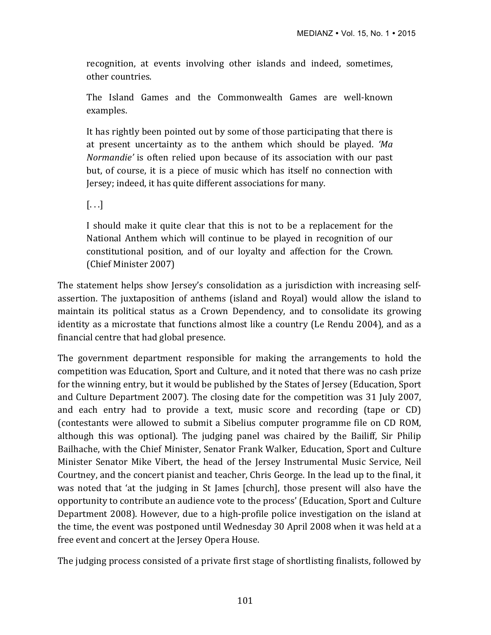recognition, at events involving other islands and indeed, sometimes, other countries.

The Island Games and the Commonwealth Games are well-known examples.

It has rightly been pointed out by some of those participating that there is at present uncertainty as to the anthem which should be played. *'Ma Normandie'* is often relied upon because of its association with our past but, of course, it is a piece of music which has itself no connection with Jersey; indeed, it has quite different associations for many.

 $[...]$ 

I should make it quite clear that this is not to be a replacement for the National Anthem which will continue to be played in recognition of our constitutional position, and of our loyalty and affection for the Crown. (Chief Minister 2007)

The statement helps show Jersey's consolidation as a jurisdiction with increasing selfassertion. The juxtaposition of anthems (island and Royal) would allow the island to maintain its political status as a Crown Dependency, and to consolidate its growing identity as a microstate that functions almost like a country (Le Rendu 2004), and as a financial centre that had global presence.

The government department responsible for making the arrangements to hold the competition was Education, Sport and Culture, and it noted that there was no cash prize for the winning entry, but it would be published by the States of Jersey (Education, Sport and Culture Department 2007). The closing date for the competition was 31 July 2007, and each entry had to provide a text, music score and recording (tape or CD) (contestants were allowed to submit a Sibelius computer programme file on CD ROM, although this was optional). The judging panel was chaired by the Bailiff, Sir Philip Bailhache, with the Chief Minister, Senator Frank Walker, Education, Sport and Culture Minister Senator Mike Vibert, the head of the Jersey Instrumental Music Service, Neil Courtney, and the concert pianist and teacher, Chris George. In the lead up to the final, it was noted that 'at the judging in St James [church], those present will also have the opportunity to contribute an audience vote to the process' (Education, Sport and Culture Department 2008). However, due to a high-profile police investigation on the island at the time, the event was postponed until Wednesday 30 April 2008 when it was held at a free event and concert at the Jersey Opera House.

The judging process consisted of a private first stage of shortlisting finalists, followed by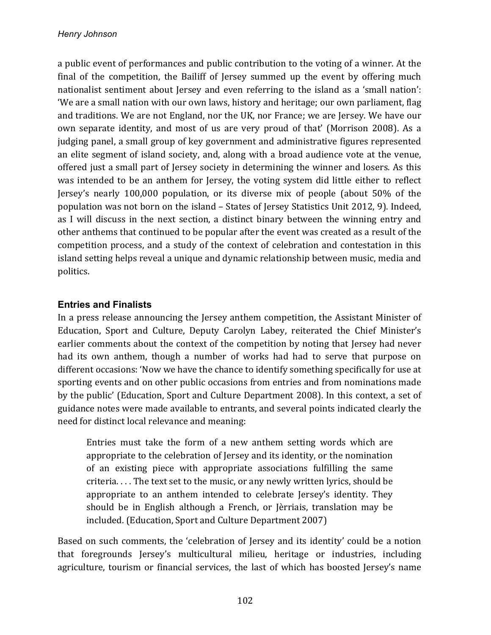a public event of performances and public contribution to the voting of a winner. At the final of the competition, the Bailiff of Jersey summed up the event by offering much nationalist sentiment about Jersey and even referring to the island as a 'small nation': 'We are a small nation with our own laws, history and heritage; our own parliament, flag and traditions. We are not England, nor the UK, nor France; we are Jersey. We have our own separate identity, and most of us are very proud of that' (Morrison 2008). As a judging panel, a small group of key government and administrative figures represented an elite segment of island society, and, along with a broad audience vote at the venue, offered just a small part of Jersey society in determining the winner and losers. As this was intended to be an anthem for Jersey, the voting system did little either to reflect Jersey's nearly 100,000 population, or its diverse mix of people (about 50% of the population was not born on the island - States of Jersey Statistics Unit 2012, 9). Indeed, as I will discuss in the next section, a distinct binary between the winning entry and other anthems that continued to be popular after the event was created as a result of the competition process, and a study of the context of celebration and contestation in this island setting helps reveal a unique and dynamic relationship between music, media and politics.

## **Entries and Finalists**

In a press release announcing the Jersey anthem competition, the Assistant Minister of Education, Sport and Culture, Deputy Carolyn Labey, reiterated the Chief Minister's earlier comments about the context of the competition by noting that Jersey had never had its own anthem, though a number of works had had to serve that purpose on different occasions: 'Now we have the chance to identify something specifically for use at sporting events and on other public occasions from entries and from nominations made by the public' (Education, Sport and Culture Department 2008). In this context, a set of guidance notes were made available to entrants, and several points indicated clearly the need for distinct local relevance and meaning:

Entries must take the form of a new anthem setting words which are appropriate to the celebration of Jersey and its identity, or the nomination of an existing piece with appropriate associations fulfilling the same criteria. . . . The text set to the music, or any newly written lyrics, should be appropriate to an anthem intended to celebrate Jersey's identity. They should be in English although a French, or Jèrriais, translation may be included. (Education, Sport and Culture Department 2007)

Based on such comments, the 'celebration of Jersey and its identity' could be a notion that foregrounds Jersey's multicultural milieu, heritage or industries, including agriculture, tourism or financial services, the last of which has boosted Jersey's name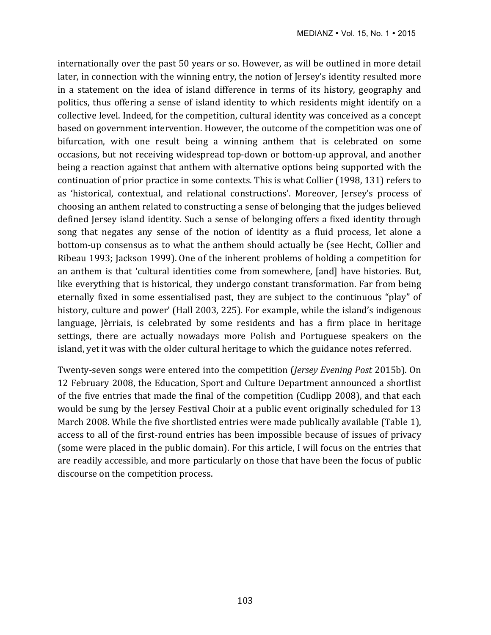internationally over the past 50 years or so. However, as will be outlined in more detail later, in connection with the winning entry, the notion of Jersey's identity resulted more in a statement on the idea of island difference in terms of its history, geography and politics, thus offering a sense of island identity to which residents might identify on a collective level. Indeed, for the competition, cultural identity was conceived as a concept based on government intervention. However, the outcome of the competition was one of bifurcation, with one result being a winning anthem that is celebrated on some occasions, but not receiving widespread top-down or bottom-up approval, and another being a reaction against that anthem with alternative options being supported with the continuation of prior practice in some contexts. This is what Collier (1998, 131) refers to as 'historical, contextual, and relational constructions'. Moreover, Jersey's process of choosing an anthem related to constructing a sense of belonging that the judges believed defined Jersey island identity. Such a sense of belonging offers a fixed identity through song that negates any sense of the notion of identity as a fluid process, let alone a bottom-up consensus as to what the anthem should actually be (see Hecht, Collier and Ribeau 1993; Jackson 1999). One of the inherent problems of holding a competition for an anthem is that 'cultural identities come from somewhere, [and] have histories. But, like everything that is historical, they undergo constant transformation. Far from being eternally fixed in some essentialised past, they are subject to the continuous "play" of history, culture and power' (Hall 2003, 225). For example, while the island's indigenous language, Jèrriais, is celebrated by some residents and has a firm place in heritage settings, there are actually nowadays more Polish and Portuguese speakers on the island, yet it was with the older cultural heritage to which the guidance notes referred.

Twenty-seven songs were entered into the competition (*Jersey Evening Post* 2015b). On 12 February 2008, the Education, Sport and Culture Department announced a shortlist of the five entries that made the final of the competition (Cudlipp 2008), and that each would be sung by the Jersey Festival Choir at a public event originally scheduled for 13 March 2008. While the five shortlisted entries were made publically available (Table 1), access to all of the first-round entries has been impossible because of issues of privacy (some were placed in the public domain). For this article, I will focus on the entries that are readily accessible, and more particularly on those that have been the focus of public discourse on the competition process.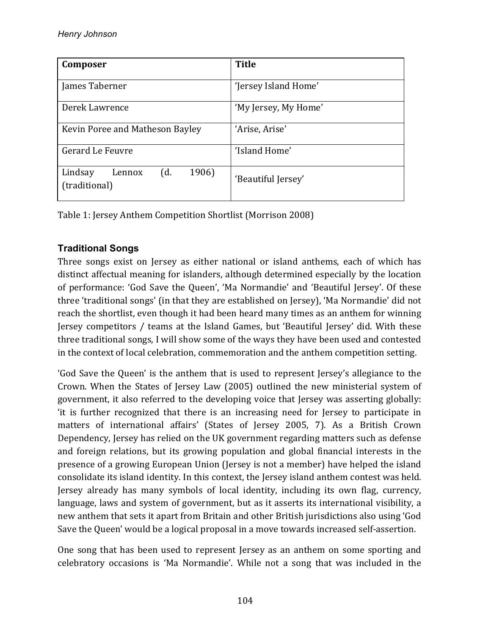| Composer                                           | <b>Title</b>         |
|----------------------------------------------------|----------------------|
| James Taberner                                     | 'Jersey Island Home' |
| Derek Lawrence                                     | 'My Jersey, My Home' |
| Kevin Poree and Matheson Bayley                    | 'Arise, Arise'       |
| Gerard Le Feuvre                                   | 'Island Home'        |
| 1906)<br>Lindsay<br>(d.<br>Lennox<br>(traditional) | 'Beautiful Jersey'   |

Table 1: Jersey Anthem Competition Shortlist (Morrison 2008)

# **Traditional Songs**

Three songs exist on Jersey as either national or island anthems, each of which has distinct affectual meaning for islanders, although determined especially by the location of performance: 'God Save the Queen', 'Ma Normandie' and 'Beautiful Jersey'. Of these three 'traditional songs' (in that they are established on Jersey), 'Ma Normandie' did not reach the shortlist, even though it had been heard many times as an anthem for winning Jersey competitors / teams at the Island Games, but 'Beautiful Jersey' did. With these three traditional songs, I will show some of the ways they have been used and contested in the context of local celebration, commemoration and the anthem competition setting.

'God Save the Queen' is the anthem that is used to represent Jersey's allegiance to the Crown. When the States of Jersey Law (2005) outlined the new ministerial system of government, it also referred to the developing voice that Jersey was asserting globally: 'it is further recognized that there is an increasing need for Jersey to participate in matters of international affairs' (States of Jersey 2005, 7). As a British Crown Dependency, Jersey has relied on the UK government regarding matters such as defense and foreign relations, but its growing population and global financial interests in the presence of a growing European Union (Jersey is not a member) have helped the island consolidate its island identity. In this context, the Jersey island anthem contest was held. Jersey already has many symbols of local identity, including its own flag, currency, language, laws and system of government, but as it asserts its international visibility, a new anthem that sets it apart from Britain and other British jurisdictions also using 'God Save the Queen' would be a logical proposal in a move towards increased self-assertion.

One song that has been used to represent Jersey as an anthem on some sporting and celebratory occasions is 'Ma Normandie'. While not a song that was included in the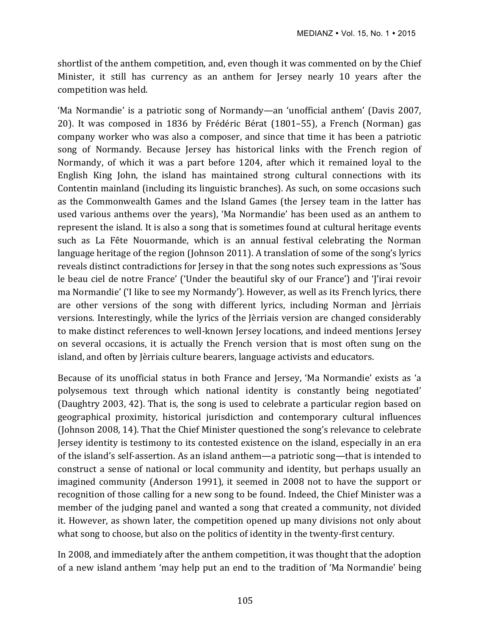shortlist of the anthem competition, and, even though it was commented on by the Chief Minister, it still has currency as an anthem for Jersey nearly 10 years after the competition was held.

'Ma Normandie' is a patriotic song of Normandy—an 'unofficial anthem' (Davis 2007, 20). It was composed in 1836 by Frédéric Bérat (1801–55), a French (Norman) gas company worker who was also a composer, and since that time it has been a patriotic song of Normandy. Because Jersey has historical links with the French region of Normandy, of which it was a part before 1204, after which it remained loyal to the English King John, the island has maintained strong cultural connections with its Contentin mainland (including its linguistic branches). As such, on some occasions such as the Commonwealth Games and the Island Games (the Jersey team in the latter has used various anthems over the years), 'Ma Normandie' has been used as an anthem to represent the island. It is also a song that is sometimes found at cultural heritage events such as La Fête Nouormande, which is an annual festival celebrating the Norman language heritage of the region (Johnson 2011). A translation of some of the song's lyrics reveals distinct contradictions for Jersey in that the song notes such expressions as 'Sous le beau ciel de notre France' ('Under the beautiful sky of our France') and 'l'irai revoir ma Normandie' ('I like to see my Normandy'). However, as well as its French lyrics, there are other versions of the song with different lyrics, including Norman and Jèrriais versions. Interestingly, while the lyrics of the Jèrriais version are changed considerably to make distinct references to well-known Jersey locations, and indeed mentions Jersey on several occasions, it is actually the French version that is most often sung on the island, and often by Jèrriais culture bearers, language activists and educators.

Because of its unofficial status in both France and Jersey, 'Ma Normandie' exists as 'a polysemous text through which national identity is constantly being negotiated' (Daughtry 2003, 42). That is, the song is used to celebrate a particular region based on geographical proximity, historical jurisdiction and contemporary cultural influences (Johnson 2008, 14). That the Chief Minister questioned the song's relevance to celebrate Jersey identity is testimony to its contested existence on the island, especially in an era of the island's self-assertion. As an island anthem—a patriotic song—that is intended to construct a sense of national or local community and identity, but perhaps usually an imagined community (Anderson 1991), it seemed in 2008 not to have the support or recognition of those calling for a new song to be found. Indeed, the Chief Minister was a member of the judging panel and wanted a song that created a community, not divided it. However, as shown later, the competition opened up many divisions not only about what song to choose, but also on the politics of identity in the twenty-first century.

In 2008, and immediately after the anthem competition, it was thought that the adoption of a new island anthem 'may help put an end to the tradition of 'Ma Normandie' being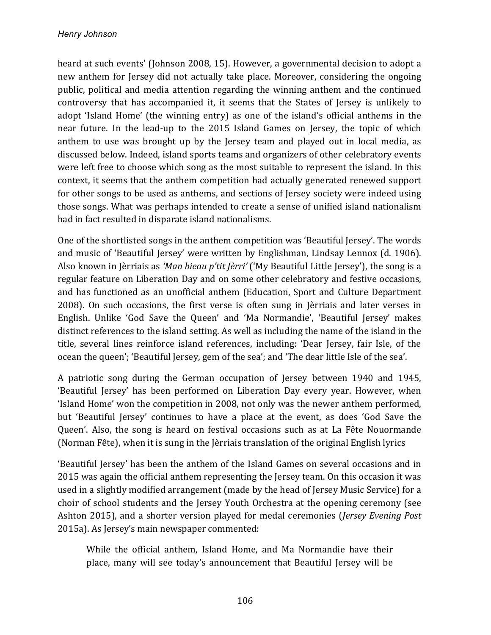heard at such events' (Johnson 2008, 15). However, a governmental decision to adopt a new anthem for Jersey did not actually take place. Moreover, considering the ongoing public, political and media attention regarding the winning anthem and the continued controversy that has accompanied it, it seems that the States of Jersey is unlikely to adopt 'Island Home' (the winning entry) as one of the island's official anthems in the near future. In the lead-up to the 2015 Island Games on Jersey, the topic of which anthem to use was brought up by the Jersey team and played out in local media, as discussed below. Indeed, island sports teams and organizers of other celebratory events were left free to choose which song as the most suitable to represent the island. In this context, it seems that the anthem competition had actually generated renewed support for other songs to be used as anthems, and sections of Jersey society were indeed using those songs. What was perhaps intended to create a sense of unified island nationalism had in fact resulted in disparate island nationalisms.

One of the shortlisted songs in the anthem competition was 'Beautiful Jersey'. The words and music of 'Beautiful Jersey' were written by Englishman, Lindsay Lennox (d. 1906). Also known in Jèrriais as 'Man bieau p'tit Jèrri' ('My Beautiful Little Jersey'), the song is a regular feature on Liberation Day and on some other celebratory and festive occasions, and has functioned as an unofficial anthem (Education, Sport and Culture Department 2008). On such occasions, the first verse is often sung in Jèrriais and later verses in English. Unlike 'God Save the Queen' and 'Ma Normandie', 'Beautiful Jersey' makes distinct references to the island setting. As well as including the name of the island in the title, several lines reinforce island references, including: 'Dear Jersey, fair Isle, of the ocean the queen'; 'Beautiful Jersey, gem of the sea'; and 'The dear little Isle of the sea'.

A patriotic song during the German occupation of Jersey between 1940 and 1945, 'Beautiful Jersey' has been performed on Liberation Day every year. However, when 'Island Home' won the competition in 2008, not only was the newer anthem performed, but 'Beautiful Jersey' continues to have a place at the event, as does 'God Save the Queen'. Also, the song is heard on festival occasions such as at La Fête Nouormande (Norman Fête), when it is sung in the Jèrriais translation of the original English lyrics

'Beautiful Jersey' has been the anthem of the Island Games on several occasions and in 2015 was again the official anthem representing the Jersey team. On this occasion it was used in a slightly modified arrangement (made by the head of Jersey Music Service) for a choir of school students and the Jersey Youth Orchestra at the opening ceremony (see Ashton 2015), and a shorter version played for medal ceremonies (*Jersey Evening Post* 2015a). As Jersey's main newspaper commented:

While the official anthem, Island Home, and Ma Normandie have their place, many will see today's announcement that Beautiful Jersey will be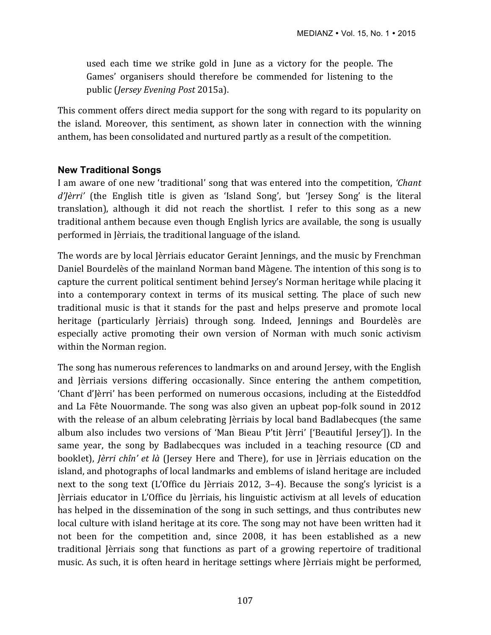used each time we strike gold in June as a victory for the people. The Games' organisers should therefore be commended for listening to the public (*Jersey Evening Post* 2015a).

This comment offers direct media support for the song with regard to its popularity on the island. Moreover, this sentiment, as shown later in connection with the winning anthem, has been consolidated and nurtured partly as a result of the competition.

## **New Traditional Songs**

I am aware of one new 'traditional' song that was entered into the competition, '*Chant d'Jèrri'* (the English title is given as 'Island Song', but 'Jersey Song' is the literal translation), although it did not reach the shortlist. I refer to this song as a new traditional anthem because even though English lyrics are available, the song is usually performed in Jèrriais, the traditional language of the island.

The words are by local Jèrriais educator Geraint Jennings, and the music by Frenchman Daniel Bourdelès of the mainland Norman band Màgene. The intention of this song is to capture the current political sentiment behind Jersey's Norman heritage while placing it into a contemporary context in terms of its musical setting. The place of such new traditional music is that it stands for the past and helps preserve and promote local heritage (particularly Jèrriais) through song. Indeed, Jennings and Bourdelès are especially active promoting their own version of Norman with much sonic activism within the Norman region.

The song has numerous references to landmarks on and around Jersey, with the English and Jèrriais versions differing occasionally. Since entering the anthem competition, 'Chant d'Jèrri' has been performed on numerous occasions, including at the Eisteddfod and La Fête Nouormande. The song was also given an upbeat pop-folk sound in 2012 with the release of an album celebrating Jèrriais by local band Badlabecques (the same album also includes two versions of 'Man Bieau P'tit Jèrri' ['Beautiful Jersey']). In the same year, the song by Badlabecques was included in a teaching resource (CD and booklet), *Jèrri chîn' et là* (Jersey Here and There), for use in Jèrriais education on the island, and photographs of local landmarks and emblems of island heritage are included next to the song text (L'Office du Jèrriais 2012, 3–4). Because the song's lyricist is a Jèrriais educator in L'Office du Jèrriais, his linguistic activism at all levels of education has helped in the dissemination of the song in such settings, and thus contributes new local culture with island heritage at its core. The song may not have been written had it not been for the competition and, since 2008, it has been established as a new traditional Jèrriais song that functions as part of a growing repertoire of traditional music. As such, it is often heard in heritage settings where Jerriais might be performed,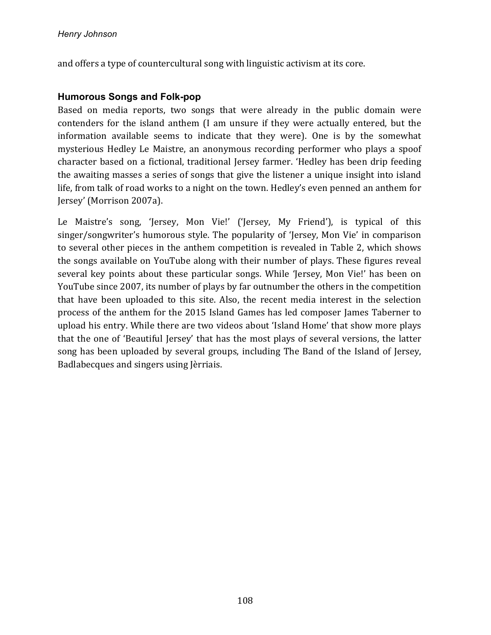and offers a type of countercultural song with linguistic activism at its core.

### **Humorous Songs and Folk-pop**

Based on media reports, two songs that were already in the public domain were contenders for the island anthem (I am unsure if they were actually entered, but the information available seems to indicate that they were). One is by the somewhat mysterious Hedley Le Maistre, an anonymous recording performer who plays a spoof character based on a fictional, traditional Jersey farmer. 'Hedley has been drip feeding the awaiting masses a series of songs that give the listener a unique insight into island life, from talk of road works to a night on the town. Hedley's even penned an anthem for Jersey' (Morrison 2007a).

Le Maistre's song, 'Jersey, Mon Vie!' ('Jersey, My Friend'), is typical of this singer/songwriter's humorous style. The popularity of 'Jersey, Mon Vie' in comparison to several other pieces in the anthem competition is revealed in Table 2, which shows the songs available on YouTube along with their number of plays. These figures reveal several key points about these particular songs. While 'Jersey, Mon Vie!' has been on YouTube since 2007, its number of plays by far outnumber the others in the competition that have been uploaded to this site. Also, the recent media interest in the selection process of the anthem for the 2015 Island Games has led composer James Taberner to upload his entry. While there are two videos about 'Island Home' that show more plays that the one of 'Beautiful Jersey' that has the most plays of several versions, the latter song has been uploaded by several groups, including The Band of the Island of Iersev. Badlabecques and singers using Jèrriais.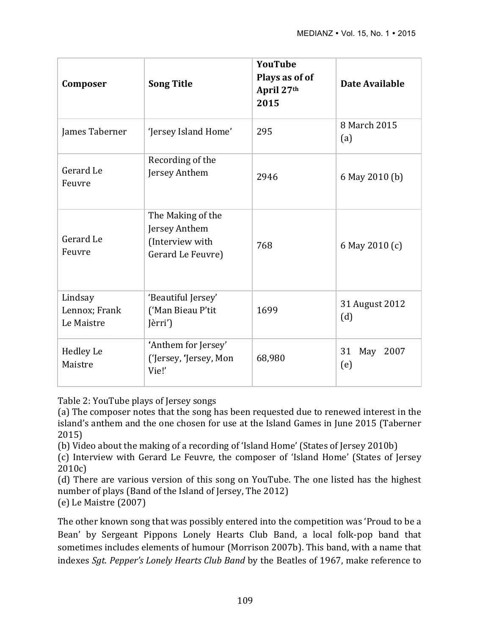| Composer                               | <b>Song Title</b>                                                          | <b>YouTube</b><br>Plays as of of<br>April 27th<br>2015 | Date Available        |
|----------------------------------------|----------------------------------------------------------------------------|--------------------------------------------------------|-----------------------|
| James Taberner                         | 'Jersey Island Home'                                                       | 295                                                    | 8 March 2015<br>(a)   |
| Gerard Le<br>Feuvre                    | Recording of the<br>Jersey Anthem                                          | 2946                                                   | 6 May 2010 (b)        |
| Gerard Le<br>Feuvre                    | The Making of the<br>Jersey Anthem<br>(Interview with<br>Gerard Le Feuvre) | 768                                                    | 6 May 2010 (c)        |
| Lindsay<br>Lennox; Frank<br>Le Maistre | 'Beautiful Jersey'<br>('Man Bieau P'tit<br>Jèrri')                         | 1699                                                   | 31 August 2012<br>(d) |
| <b>Hedley Le</b><br>Maistre            | 'Anthem for Jersey'<br>('Jersey, 'Jersey, Mon<br>Vie!'                     | 68,980                                                 | 31<br>May 2007<br>(e) |

Table 2: YouTube plays of Jersey songs

(a) The composer notes that the song has been requested due to renewed interest in the island's anthem and the one chosen for use at the Island Games in June 2015 (Taberner 2015)

(b) Video about the making of a recording of 'Island Home' (States of Jersey 2010b)

(c) Interview with Gerard Le Feuvre, the composer of 'Island Home' (States of Jersey 2010c)

(d) There are various version of this song on YouTube. The one listed has the highest number of plays (Band of the Island of Jersey, The 2012)

(e) Le Maistre  $(2007)$ 

The other known song that was possibly entered into the competition was 'Proud to be a Bean' by Sergeant Pippons Lonely Hearts Club Band, a local folk-pop band that sometimes includes elements of humour (Morrison 2007b). This band, with a name that indexes *Sgt*. *Pepper's Lonely Hearts Club Band* by the Beatles of 1967, make reference to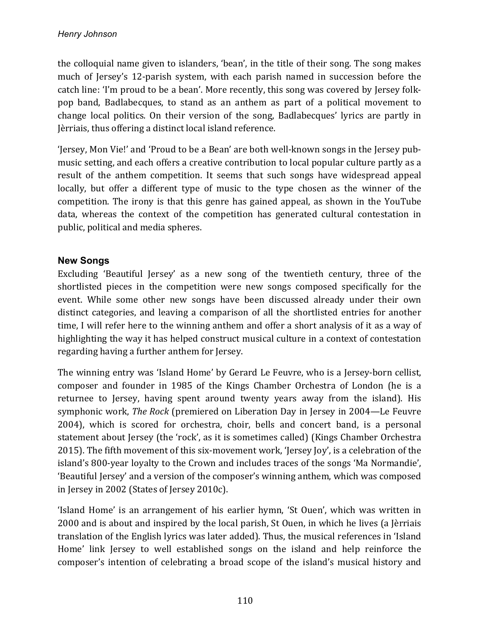the colloquial name given to islanders, 'bean', in the title of their song. The song makes much of Jersey's 12-parish system, with each parish named in succession before the catch line: 'I'm proud to be a bean'. More recently, this song was covered by Jersey folkpop band, Badlabecques, to stand as an anthem as part of a political movement to change local politics. On their version of the song, Badlabecques' lyrics are partly in Jèrriais, thus offering a distinct local island reference.

'Jersey, Mon Vie!' and 'Proud to be a Bean' are both well-known songs in the Jersey pubmusic setting, and each offers a creative contribution to local popular culture partly as a result of the anthem competition. It seems that such songs have widespread appeal locally, but offer a different type of music to the type chosen as the winner of the competition. The irony is that this genre has gained appeal, as shown in the YouTube data, whereas the context of the competition has generated cultural contestation in public, political and media spheres.

## **New Songs**

Excluding 'Beautiful Jersey' as a new song of the twentieth century, three of the shortlisted pieces in the competition were new songs composed specifically for the event. While some other new songs have been discussed already under their own distinct categories, and leaving a comparison of all the shortlisted entries for another time, I will refer here to the winning anthem and offer a short analysis of it as a way of highlighting the way it has helped construct musical culture in a context of contestation regarding having a further anthem for Jersey.

The winning entry was 'Island Home' by Gerard Le Feuvre, who is a Jersey-born cellist, composer and founder in 1985 of the Kings Chamber Orchestra of London (he is a returnee to Jersey, having spent around twenty years away from the island). His symphonic work, *The Rock* (premiered on Liberation Day in Jersey in 2004—Le Feuvre 2004), which is scored for orchestra, choir, bells and concert band, is a personal statement about Iersey (the 'rock', as it is sometimes called) (Kings Chamber Orchestra 2015). The fifth movement of this six-movement work, 'Jersey Joy', is a celebration of the island's 800-year loyalty to the Crown and includes traces of the songs 'Ma Normandie', 'Beautiful Jersey' and a version of the composer's winning anthem, which was composed in Jersey in 2002 (States of Jersey 2010c).

'Island Home' is an arrangement of his earlier hymn, 'St Ouen', which was written in 2000 and is about and inspired by the local parish, St Ouen, in which he lives (a Jèrriais translation of the English lyrics was later added). Thus, the musical references in 'Island Home' link Jersey to well established songs on the island and help reinforce the composer's intention of celebrating a broad scope of the island's musical history and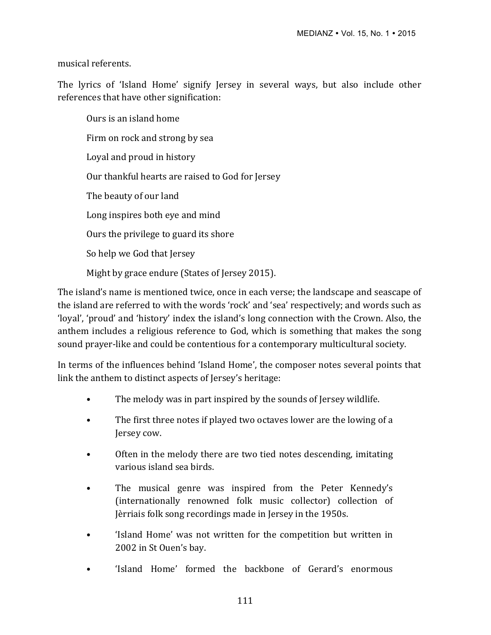musical referents. 

The lyrics of 'Island Home' signify Jersey in several ways, but also include other references that have other signification:

Ours is an island home Firm on rock and strong by sea Loyal and proud in history Our thankful hearts are raised to God for Jersey The beauty of our land Long inspires both eye and mind Ours the privilege to guard its shore So help we God that Jersey Might by grace endure (States of Jersey 2015).

The island's name is mentioned twice, once in each verse; the landscape and seascape of the island are referred to with the words 'rock' and 'sea' respectively; and words such as 'loyal', 'proud' and 'history' index the island's long connection with the Crown. Also, the anthem includes a religious reference to God, which is something that makes the song sound prayer-like and could be contentious for a contemporary multicultural society.

In terms of the influences behind 'Island Home', the composer notes several points that link the anthem to distinct aspects of Jersey's heritage:

- The melody was in part inspired by the sounds of Jersey wildlife.
- The first three notes if played two octaves lower are the lowing of a Jersey cow.
- Often in the melody there are two tied notes descending, imitating various island sea birds.
- The musical genre was inspired from the Peter Kennedy's (internationally renowned folk music collector) collection of Jèrriais folk song recordings made in Jersey in the 1950s.
- 'Island Home' was not written for the competition but written in 2002 in St Ouen's bay.
- 'Island Home' formed the backbone of Gerard's enormous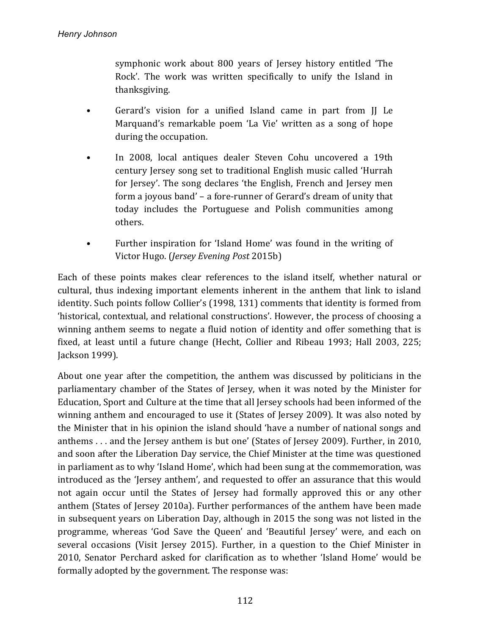symphonic work about 800 years of Jersey history entitled 'The Rock'. The work was written specifically to unify the Island in thanksgiving.

- Gerard's vision for a unified Island came in part from II Le Marquand's remarkable poem 'La Vie' written as a song of hope during the occupation.
- In 2008, local antiques dealer Steven Cohu uncovered a 19th century Jersey song set to traditional English music called 'Hurrah for Jersey'. The song declares 'the English, French and Jersey men form a joyous band' – a fore-runner of Gerard's dream of unity that today includes the Portuguese and Polish communities among others.
- Further inspiration for 'Island Home' was found in the writing of Victor Hugo. (*Jersey Evening Post* 2015b)

Each of these points makes clear references to the island itself, whether natural or cultural, thus indexing important elements inherent in the anthem that link to island identity. Such points follow Collier's (1998, 131) comments that identity is formed from 'historical, contextual, and relational constructions'. However, the process of choosing a winning anthem seems to negate a fluid notion of identity and offer something that is fixed, at least until a future change (Hecht, Collier and Ribeau 1993; Hall 2003, 225; Jackson 1999).

About one year after the competition, the anthem was discussed by politicians in the parliamentary chamber of the States of Jersey, when it was noted by the Minister for Education, Sport and Culture at the time that all Jersey schools had been informed of the winning anthem and encouraged to use it (States of Jersey 2009). It was also noted by the Minister that in his opinion the island should 'have a number of national songs and anthems  $\dots$  and the Jersey anthem is but one' (States of Jersey 2009). Further, in 2010, and soon after the Liberation Day service, the Chief Minister at the time was questioned in parliament as to why 'Island Home', which had been sung at the commemoration, was introduced as the 'Jersey anthem', and requested to offer an assurance that this would not again occur until the States of Jersey had formally approved this or any other anthem (States of Jersey 2010a). Further performances of the anthem have been made in subsequent years on Liberation Day, although in 2015 the song was not listed in the programme, whereas 'God Save the Queen' and 'Beautiful Jersey' were, and each on several occasions (Visit Jersey 2015). Further, in a question to the Chief Minister in 2010, Senator Perchard asked for clarification as to whether 'Island Home' would be formally adopted by the government. The response was: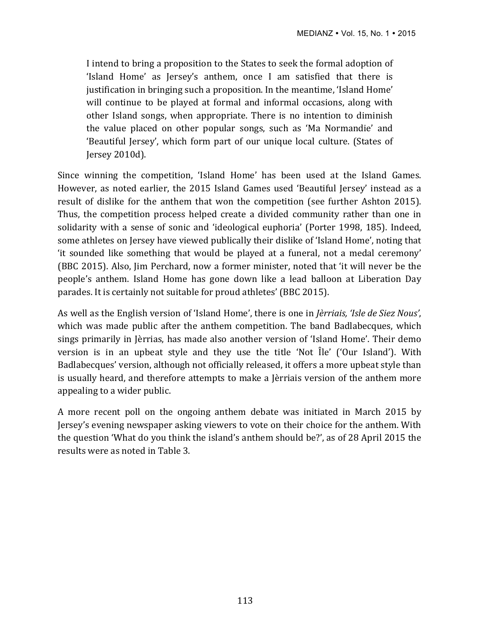I intend to bring a proposition to the States to seek the formal adoption of 'Island Home' as Jersey's anthem, once I am satisfied that there is justification in bringing such a proposition. In the meantime, 'Island Home' will continue to be played at formal and informal occasions, along with other Island songs, when appropriate. There is no intention to diminish the value placed on other popular songs, such as 'Ma Normandie' and 'Beautiful Jersey', which form part of our unique local culture. (States of Jersey 2010d).

Since winning the competition, 'Island Home' has been used at the Island Games. However, as noted earlier, the 2015 Island Games used 'Beautiful Jersey' instead as a result of dislike for the anthem that won the competition (see further Ashton 2015). Thus, the competition process helped create a divided community rather than one in solidarity with a sense of sonic and 'ideological euphoria' (Porter 1998, 185). Indeed, some athletes on Jersey have viewed publically their dislike of 'Island Home', noting that 'it sounded like something that would be played at a funeral, not a medal ceremony' (BBC 2015). Also, Jim Perchard, now a former minister, noted that 'it will never be the people's anthem. Island Home has gone down like a lead balloon at Liberation Day parades. It is certainly not suitable for proud athletes' (BBC 2015).

As well as the English version of 'Island Home', there is one in *Jèrriais, 'Isle de Siez Nous'*, which was made public after the anthem competition. The band Badlabecques, which sings primarily in Jèrrias, has made also another version of 'Island Home'. Their demo version is in an upbeat style and they use the title 'Not  $\hat{I}$ le' ('Our Island'). With Badlabecques' version, although not officially released, it offers a more upbeat style than is usually heard, and therefore attempts to make a Jèrriais version of the anthem more appealing to a wider public.

A more recent poll on the ongoing anthem debate was initiated in March 2015 by Jersey's evening newspaper asking viewers to vote on their choice for the anthem. With the question 'What do you think the island's anthem should be?', as of 28 April 2015 the results were as noted in Table 3.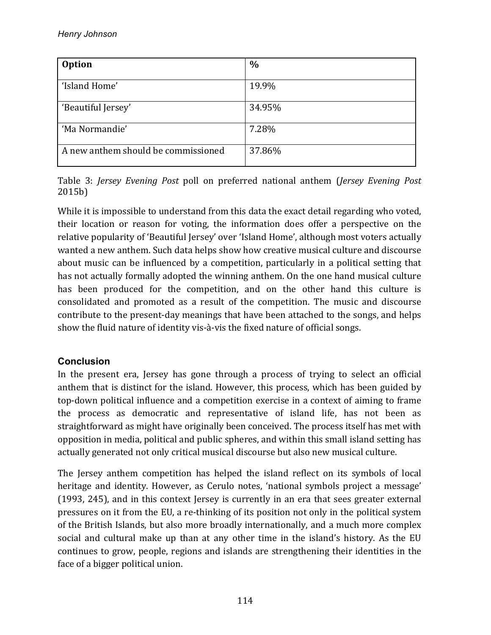| <b>Option</b>                       | $\%$   |
|-------------------------------------|--------|
| 'Island Home'                       | 19.9%  |
| 'Beautiful Jersey'                  | 34.95% |
| 'Ma Normandie'                      | 7.28%  |
| A new anthem should be commissioned | 37.86% |

Table 3: *Jersey Evening Post* poll on preferred national anthem (*Jersey Evening Post*) 2015b)

While it is impossible to understand from this data the exact detail regarding who voted, their location or reason for voting, the information does offer a perspective on the relative popularity of 'Beautiful Jersey' over 'Island Home', although most voters actually wanted a new anthem. Such data helps show how creative musical culture and discourse about music can be influenced by a competition, particularly in a political setting that has not actually formally adopted the winning anthem. On the one hand musical culture has been produced for the competition, and on the other hand this culture is consolidated and promoted as a result of the competition. The music and discourse contribute to the present-day meanings that have been attached to the songs, and helps show the fluid nature of identity vis-à-vis the fixed nature of official songs.

# **Conclusion**

In the present era, Jersey has gone through a process of trying to select an official anthem that is distinct for the island. However, this process, which has been guided by top-down political influence and a competition exercise in a context of aiming to frame the process as democratic and representative of island life, has not been as straightforward as might have originally been conceived. The process itself has met with opposition in media, political and public spheres, and within this small island setting has actually generated not only critical musical discourse but also new musical culture.

The Jersey anthem competition has helped the island reflect on its symbols of local heritage and identity. However, as Cerulo notes, 'national symbols project a message'  $(1993, 245)$ , and in this context Jersey is currently in an era that sees greater external pressures on it from the EU, a re-thinking of its position not only in the political system of the British Islands, but also more broadly internationally, and a much more complex social and cultural make up than at any other time in the island's history. As the EU continues to grow, people, regions and islands are strengthening their identities in the face of a bigger political union.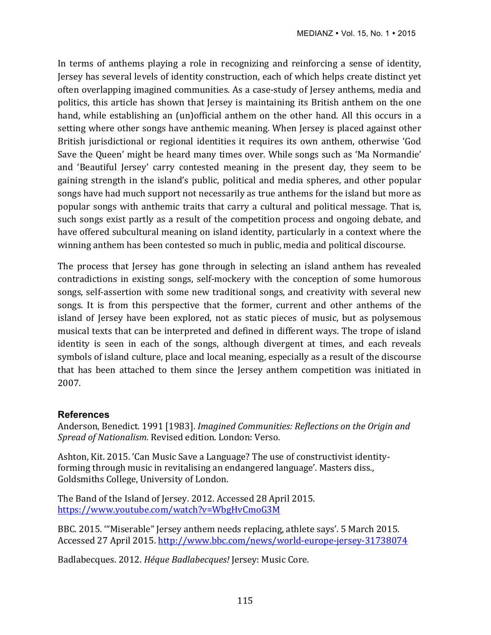In terms of anthems playing a role in recognizing and reinforcing a sense of identity, Jersey has several levels of identity construction, each of which helps create distinct vet often overlapping imagined communities. As a case-study of Jersey anthems, media and politics, this article has shown that Jersey is maintaining its British anthem on the one hand, while establishing an (un)official anthem on the other hand. All this occurs in a setting where other songs have anthemic meaning. When Jersey is placed against other British jurisdictional or regional identities it requires its own anthem, otherwise 'God Save the Queen' might be heard many times over. While songs such as 'Ma Normandie' and 'Beautiful Jersey' carry contested meaning in the present day, they seem to be gaining strength in the island's public, political and media spheres, and other popular songs have had much support not necessarily as true anthems for the island but more as popular songs with anthemic traits that carry a cultural and political message. That is, such songs exist partly as a result of the competition process and ongoing debate, and have offered subcultural meaning on island identity, particularly in a context where the winning anthem has been contested so much in public, media and political discourse.

The process that Jersey has gone through in selecting an island anthem has revealed contradictions in existing songs, self-mockery with the conception of some humorous songs, self-assertion with some new traditional songs, and creativity with several new songs. It is from this perspective that the former, current and other anthems of the island of Jersey have been explored, not as static pieces of music, but as polysemous musical texts that can be interpreted and defined in different ways. The trope of island identity is seen in each of the songs, although divergent at times, and each reveals symbols of island culture, place and local meaning, especially as a result of the discourse that has been attached to them since the Jersey anthem competition was initiated in 2007. 

### **References**

Anderson, Benedict. 1991 [1983]. *Imagined Communities: Reflections on the Origin and Spread of Nationalism.* Revised edition. London: Verso.

Ashton, Kit. 2015. 'Can Music Save a Language? The use of constructivist identityforming through music in revitalising an endangered language'. Masters diss., Goldsmiths College, University of London.

The Band of the Island of Jersey. 2012. Accessed 28 April 2015. https://www.youtube.com/watch?v=WbgHvCmoG3M

BBC. 2015. "Miserable" Jersey anthem needs replacing, athlete says'. 5 March 2015. Accessed 27 April 2015. http://www.bbc.com/news/world-europe-jersey-31738074

Badlabecques. 2012. *Héque Badlabecques!* Jersey: Music Core.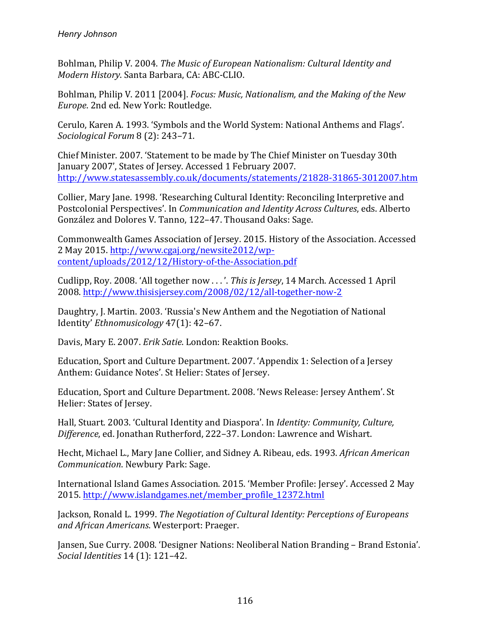Bohlman, Philip V. 2004. *The Music of European Nationalism: Cultural Identity and Modern History*. Santa Barbara, CA: ABC-CLIO.

Bohlman, Philip V. 2011 [2004]. *Focus: Music, Nationalism, and the Making of the New Europe*. 2nd ed. New York: Routledge.

Cerulo, Karen A. 1993. 'Symbols and the World System: National Anthems and Flags'. *Sociological Forum* 8 (2): 243–71.

Chief Minister. 2007. 'Statement to be made by The Chief Minister on Tuesday 30th January 2007', States of Jersey. Accessed 1 February 2007. http://www.statesassembly.co.uk/documents/statements/21828-31865-3012007.htm

Collier, Mary Jane. 1998. 'Researching Cultural Identity: Reconciling Interpretive and Postcolonial Perspectives'. In *Communication and Identity Across Cultures*, eds. Alberto González and Dolores V. Tanno, 122–47. Thousand Oaks: Sage.

Commonwealth Games Association of Jersey. 2015. History of the Association. Accessed 2 May 2015. http://www.cgaj.org/newsite2012/wpcontent/uploads/2012/12/History-of-the-Association.pdf

Cudlipp, Roy. 2008. 'All together now ...'. *This is Jersey*, 14 March. Accessed 1 April 2008. http://www.thisisjersey.com/2008/02/12/all-together-now-2

Daughtry, J. Martin. 2003. 'Russia's New Anthem and the Negotiation of National Identity' *Ethnomusicology* 47(1): 42-67.

Davis, Mary E. 2007. *Erik Satie*. London: Reaktion Books.

Education, Sport and Culture Department. 2007. 'Appendix 1: Selection of a Jersey Anthem: Guidance Notes'. St Helier: States of Jersey.

Education, Sport and Culture Department. 2008. 'News Release: Jersey Anthem'. St Helier: States of Jersey.

Hall, Stuart. 2003. 'Cultural Identity and Diaspora'. In *Identity: Community, Culture, Difference*, ed. Jonathan Rutherford, 222-37. London: Lawrence and Wishart.

Hecht, Michael L., Mary Jane Collier, and Sidney A. Ribeau, eds. 1993. *African American Communication.* Newbury Park: Sage.

International Island Games Association. 2015. 'Member Profile: Jersey'. Accessed 2 May 2015. http://www.islandgames.net/member\_profile\_12372.html

Jackson, Ronald L. 1999. *The Negotiation of Cultural Identity: Perceptions of Europeans and African Americans*. Westerport: Praeger.

Jansen, Sue Curry. 2008. 'Designer Nations: Neoliberal Nation Branding – Brand Estonia'. *Social Identities* 14 (1): 121–42.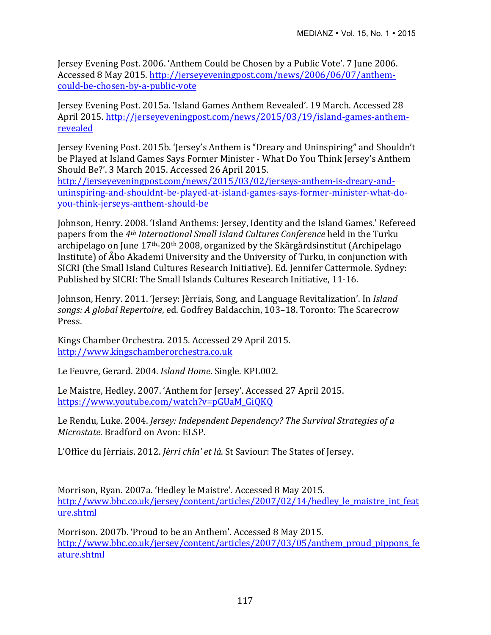Jersey Evening Post. 2006. 'Anthem Could be Chosen by a Public Vote'. 7 June 2006. Accessed 8 May 2015. http://jerseyeveningpost.com/news/2006/06/07/anthemcould-be-chosen-by-a-public-vote

Jersey Evening Post. 2015a. 'Island Games Anthem Revealed'. 19 March. Accessed 28 April 2015. http://jerseyeveningpost.com/news/2015/03/19/island-games-anthemrevealed

Jersey Evening Post. 2015b. 'Jersey's Anthem is "Dreary and Uninspiring" and Shouldn't be Played at Island Games Says Former Minister - What Do You Think Jersey's Anthem Should Be?'. 3 March 2015. Accessed 26 April 2015.

http://jerseyeveningpost.com/news/2015/03/02/jerseys-anthem-is-dreary-anduninspiring-and-shouldnt-be-played-at-island-games-says-former-minister-what-doyou-think-jerseys-anthem-should-be

Johnson, Henry. 2008. 'Island Anthems: Jersey, Identity and the Island Games.' Refereed papers from the 4<sup>th</sup> *International Small Island Cultures Conference* held in the Turku archipelago on June  $17<sup>th</sup>$ -20<sup>th</sup> 2008, organized by the Skärgårdsinstitut (Archipelago Institute) of Åbo Akademi University and the University of Turku, in conjunction with SICRI (the Small Island Cultures Research Initiative). Ed. Jennifer Cattermole. Sydney: Published by SICRI: The Small Islands Cultures Research Initiative, 11-16.

Johnson, Henry. 2011. 'Jersey: Jèrriais, Song, and Language Revitalization'. In *Island songs: A global Repertoire, ed. Godfrey Baldacchin, 103-18. Toronto: The Scarecrow* Press. 

Kings Chamber Orchestra. 2015. Accessed 29 April 2015. http://www.kingschamberorchestra.co.uk

Le Feuvre, Gerard. 2004. *Island Home*. Single. KPL002.

Le Maistre, Hedley. 2007. 'Anthem for Jersey'. Accessed 27 April 2015. https://www.youtube.com/watch?v=pGUaM\_GiQKQ

Le Rendu, Luke. 2004. *Jersey: Independent Dependency? The Survival Strategies of a Microstate*. Bradford on Avon: ELSP.

L'Office du Jèrriais. 2012. *Jèrri chîn' et là*. St Saviour: The States of Jersey.

Morrison, Ryan. 2007a. 'Hedley le Maistre'. Accessed 8 May 2015. http://www.bbc.co.uk/jersey/content/articles/2007/02/14/hedley le maistre int feat ure.shtml

Morrison. 2007b. 'Proud to be an Anthem'. Accessed 8 May 2015. http://www.bbc.co.uk/jersey/content/articles/2007/03/05/anthem\_proud\_pippons\_fe ature.shtml